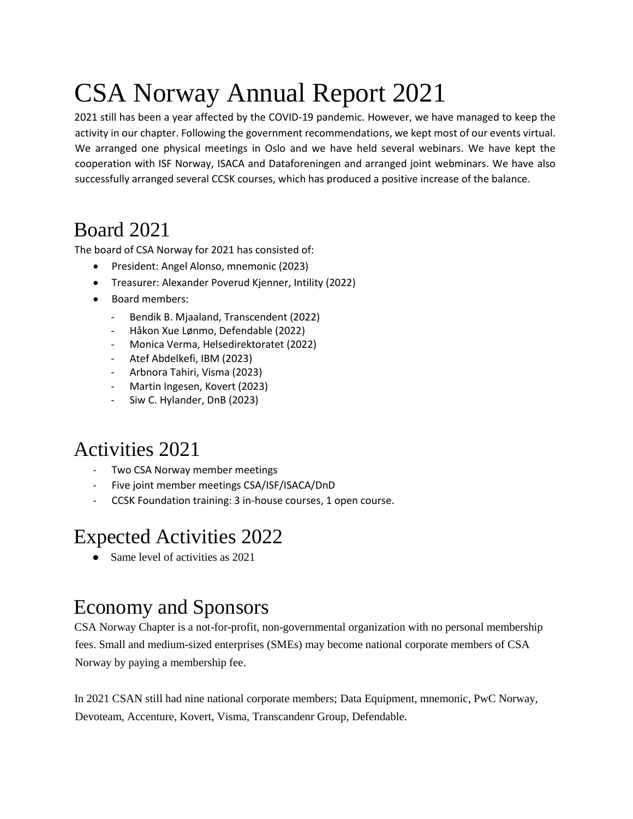# CSA Norway Annual Report 2021

2021 still has been a year affected by the COVID-19 pandemic. However, we have managed to keep the activity in our chapter. Following the government recommendations, we kept most of our events virtual. We arranged one physical meetings in Oslo and we have held several webinars. We have kept the cooperation with ISF Norway, ISACA and Dataforeningen and arranged joint webminars. We have also successfully arranged several CCSK courses, which has produced a positive increase of the balance.

## Board 2021

The board of CSA Norway for 2021 has consisted of:

- President: Angel Alonso, mnemonic (2023)
- Treasurer: Alexander Poverud Kjenner, Intility (2022)
- Board members:
	- Bendik B. Mjaaland, Transcendent (2022)
	- Håkon Xue Lønmo, Defendable (2022)
	- Monica Verma, Helsedirektoratet (2022)
	- Atef Abdelkefi, IBM (2023)
	- Arbnora Tahiri, Visma (2023)
	- Martin Ingesen, Kovert (2023)
	- Siw C. Hylander, DnB (2023)

# Activities 2021

- Two CSA Norway member meetings
- Five joint member meetings CSA/ISF/ISACA/DnD
- CCSK Foundation training: 3 in-house courses, 1 open course.

### Expected Activities 2022

Same level of activities as 2021

## Economy and Sponsors

CSA Norway Chapter is a not-for-profit, non-governmental organization with no personal membership fees. Small and medium-sized enterprises (SMEs) may become national corporate members of CSA Norway by paying a membership fee.

In 2021 CSAN still had nine national corporate members; Data Equipment, mnemonic, PwC Norway, Devoteam, Accenture, Kovert, Visma, Transcandenr Group, Defendable.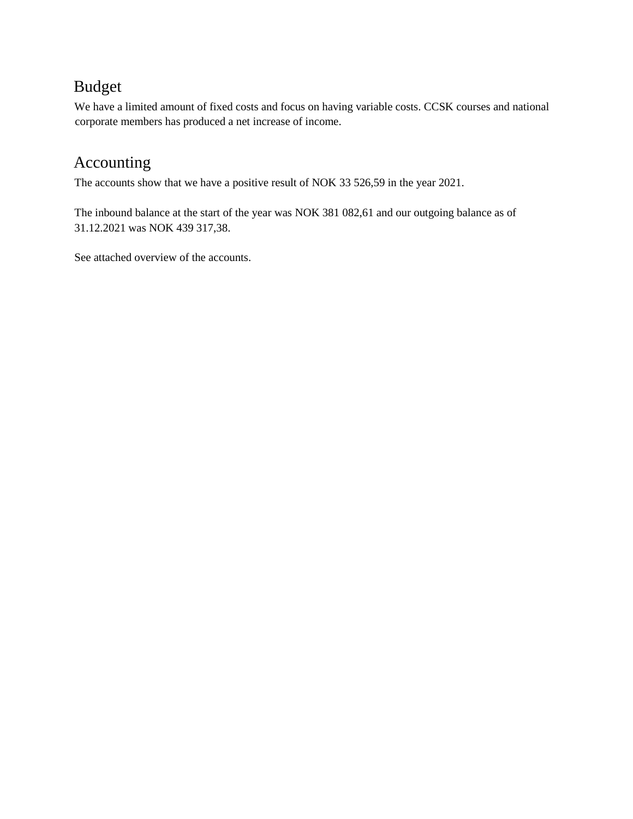### Budget

We have a limited amount of fixed costs and focus on having variable costs. CCSK courses and national corporate members has produced a net increase of income.

### Accounting

The accounts show that we have a positive result of NOK 33 526,59 in the year 2021.

The inbound balance at the start of the year was NOK 381 082,61 and our outgoing balance as of 31.12.2021 was NOK 439 317,38.

See attached overview of the accounts.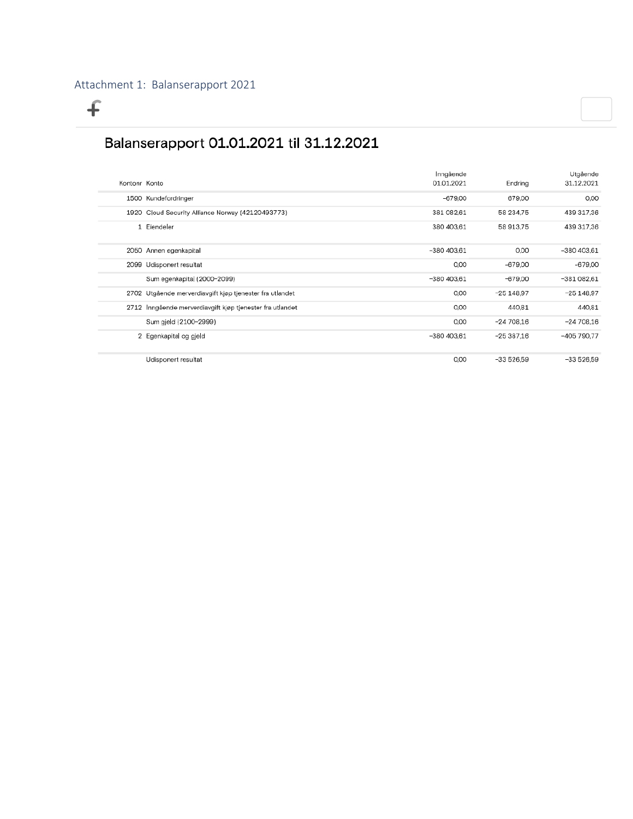$\overline{f}$ 

### Balanserapport 01.01.2021 til 31.12.2021

|               |                                                           | Inngående    |             | Utgående     |
|---------------|-----------------------------------------------------------|--------------|-------------|--------------|
| Kontonr Konto |                                                           | 01.01.2021   | Endring     | 31.12.2021   |
|               | 1500 Kundefordringer                                      | $-679,00$    | 679.00      | 0,00         |
|               | 1920 Cloud Security Alliance Norway (42120493773)         | 381 082.61   | 58 234.75   | 439 317.36   |
|               | 1 Eiendeler                                               | 380 403,61   | 58 913.75   | 439 317,36   |
|               | 2050 Annen egenkapital                                    | $-380403.61$ | 0.00        | $-380403.61$ |
|               | 2099 Udisponert resultat                                  | 0.00         | $-679.00$   | $-679,00$    |
|               | Sum egenkapita  (2000-2099)                               | $-380403.61$ | $-679.00$   | $-381082.61$ |
|               | 2702 Utgående merverdiavgift kjøp tjenester fra utlandet  | 0.00         | $-25148.97$ | $-25148.97$  |
|               | 2712 Inngående merverdiavgift kjøp tjenester fra utlandet | 0,00         | 440.81      | 440,81       |
|               | Sum gjeld (2100-2999)                                     | 0.00         | $-24708.16$ | $-24708,16$  |
|               | 2 Egenkapital og gjeld                                    | $-380403.61$ | $-25387.16$ | -405 790.77  |
|               | Udisponert resultat                                       | 0,00         | $-33526.59$ | $-33526.59$  |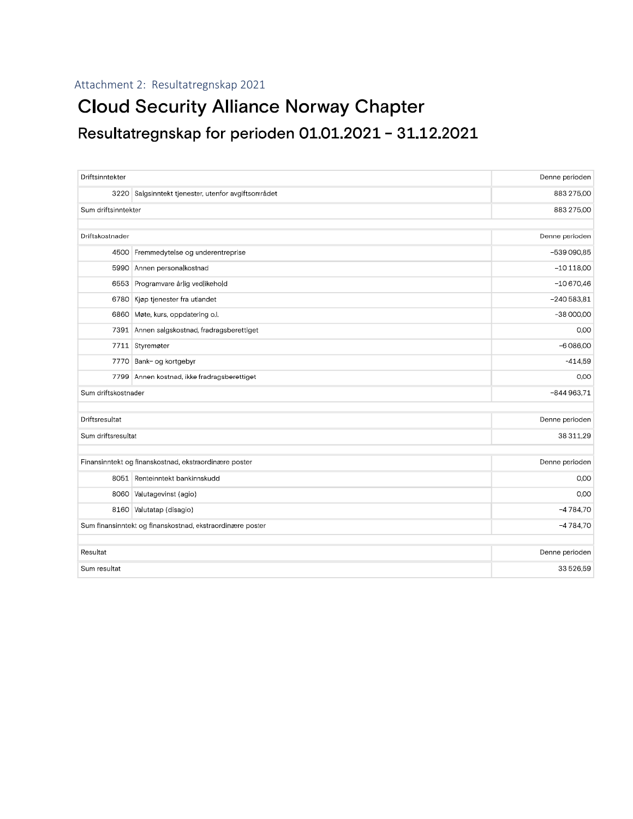#### Attachment 2: Resultatregnskap 2021

## **Cloud Security Alliance Norway Chapter** Resultatregnskap for perioden 01.01.2021 - 31.12.2021

| Driftsinntekter                                           |                                                     | Denne perioden |  |  |
|-----------------------------------------------------------|-----------------------------------------------------|----------------|--|--|
|                                                           | 3220 Salgsinntekt tjenester, utenfor avgiftsområdet | 883 275,00     |  |  |
| Sum driftsinntekter                                       |                                                     | 883 275,00     |  |  |
|                                                           |                                                     |                |  |  |
| Driftskostnader                                           |                                                     | Denne perioden |  |  |
| 4500                                                      | Fremmedytelse og underentreprise                    | $-539090.85$   |  |  |
|                                                           | 5990 Annen personalkostnad                          | $-10118,00$    |  |  |
|                                                           | 6553 Programvare årlig vedlikehold                  | $-10670,46$    |  |  |
|                                                           | 6780 Kjøp tjenester fra utlandet                    | $-240583.81$   |  |  |
|                                                           | 6860 Møte, kurs, oppdatering o.l.                   | $-38000,00$    |  |  |
| 7391                                                      | Annen salgskostnad, fradragsberettiget              | 0,00           |  |  |
|                                                           | 7711 Styremøter                                     | $-6086,00$     |  |  |
|                                                           | 7770 Bank- og kortgebyr                             | $-414.59$      |  |  |
|                                                           | 7799 Annen kostnad, ikke fradragsberettiget         | 0,00           |  |  |
| Sum driftskostnader                                       |                                                     | $-844963.71$   |  |  |
|                                                           |                                                     |                |  |  |
| Driftsresultat                                            |                                                     | Denne perioden |  |  |
| Sum driftsresultat                                        |                                                     | 38 311.29      |  |  |
|                                                           |                                                     |                |  |  |
| Finansinntekt og finanskostnad, ekstraordinære poster     |                                                     | Denne perioden |  |  |
|                                                           | 8051 Renteinntekt bankinnskudd                      | 0,00           |  |  |
|                                                           | 8060 Valutagevinst (agio)                           | 0,00           |  |  |
|                                                           | 8160 Valutatap (disagio)                            | $-4784.70$     |  |  |
| Sum finansinntekt og finanskostnad, ekstraordinære poster |                                                     | $-4784.70$     |  |  |
|                                                           |                                                     |                |  |  |
| Resultat                                                  |                                                     | Denne perioden |  |  |
| Sum resultat                                              |                                                     | 33 526.59      |  |  |